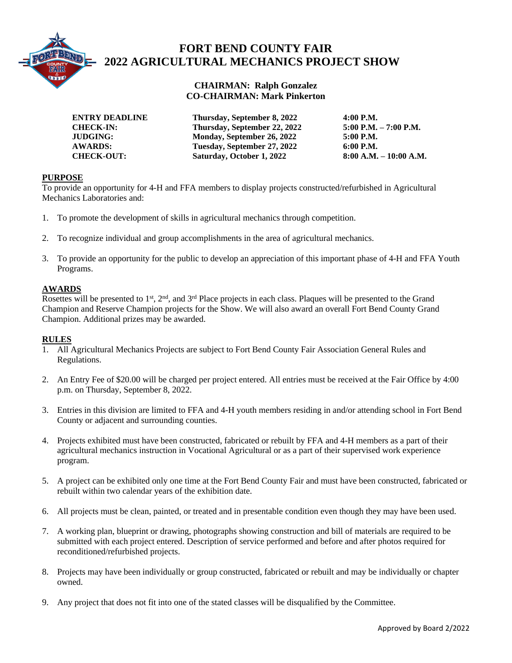

# **FORT BEND COUNTY FAIR 2022 AGRICULTURAL MECHANICS PROJECT SHOW**

## **CHAIRMAN: Ralph Gonzalez CO-CHAIRMAN: Mark Pinkerton**

 **ENTRY DEADLINE Thursday, September 8, 2022 4:00 P.M. CHECK-IN: Thursday, September 22, 2022 5:00 P.M. – 7:00 P.M. JUDGING: Monday, September 26, 2022 5:00 P.M. AWARDS:** Tuesday, September 27, 2022 6:00 P.M.<br>
CHECK-OUT: Saturday, October 1, 2022 8:00 A.M. – 10:00 A.M. **CHECK-OUT:** Saturday, October 1, 2022

## **PURPOSE**

To provide an opportunity for 4-H and FFA members to display projects constructed/refurbished in Agricultural Mechanics Laboratories and:

- 1. To promote the development of skills in agricultural mechanics through competition.
- 2. To recognize individual and group accomplishments in the area of agricultural mechanics.
- 3. To provide an opportunity for the public to develop an appreciation of this important phase of 4-H and FFA Youth Programs.

### **AWARDS**

Rosettes will be presented to 1<sup>st</sup>, 2<sup>nd</sup>, and 3<sup>rd</sup> Place projects in each class. Plaques will be presented to the Grand Champion and Reserve Champion projects for the Show. We will also award an overall Fort Bend County Grand Champion. Additional prizes may be awarded.

#### **RULES**

- 1. All Agricultural Mechanics Projects are subject to Fort Bend County Fair Association General Rules and Regulations.
- 2. An Entry Fee of \$20.00 will be charged per project entered. All entries must be received at the Fair Office by 4:00 p.m. on Thursday, September 8, 2022.
- 3. Entries in this division are limited to FFA and 4-H youth members residing in and/or attending school in Fort Bend County or adjacent and surrounding counties.
- 4. Projects exhibited must have been constructed, fabricated or rebuilt by FFA and 4-H members as a part of their agricultural mechanics instruction in Vocational Agricultural or as a part of their supervised work experience program.
- 5. A project can be exhibited only one time at the Fort Bend County Fair and must have been constructed, fabricated or rebuilt within two calendar years of the exhibition date.
- 6. All projects must be clean, painted, or treated and in presentable condition even though they may have been used.
- 7. A working plan, blueprint or drawing, photographs showing construction and bill of materials are required to be submitted with each project entered. Description of service performed and before and after photos required for reconditioned/refurbished projects.
- 8. Projects may have been individually or group constructed, fabricated or rebuilt and may be individually or chapter owned.
- 9. Any project that does not fit into one of the stated classes will be disqualified by the Committee.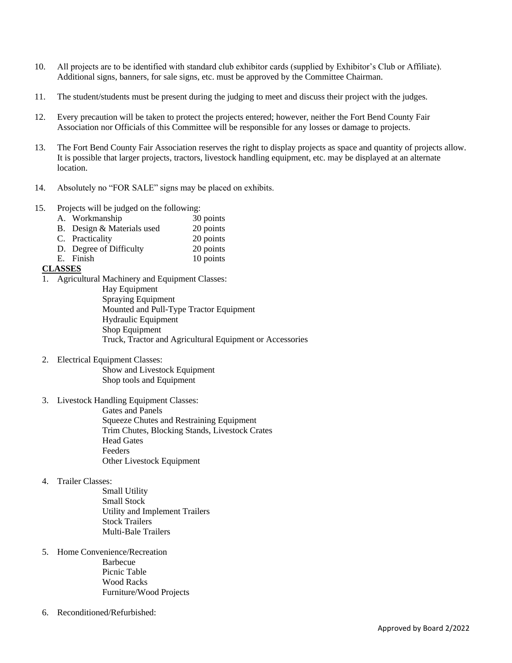- 10. All projects are to be identified with standard club exhibitor cards (supplied by Exhibitor's Club or Affiliate). Additional signs, banners, for sale signs, etc. must be approved by the Committee Chairman.
- 11. The student/students must be present during the judging to meet and discuss their project with the judges.
- 12. Every precaution will be taken to protect the projects entered; however, neither the Fort Bend County Fair Association nor Officials of this Committee will be responsible for any losses or damage to projects.
- 13. The Fort Bend County Fair Association reserves the right to display projects as space and quantity of projects allow. It is possible that larger projects, tractors, livestock handling equipment, etc. may be displayed at an alternate location.
- 14. Absolutely no "FOR SALE" signs may be placed on exhibits.
- 15. Projects will be judged on the following:
	- A. Workmanship 30 points
	- B. Design & Materials used 20 points
	- C. Practicality 20 points<br>
	D. Degree of Difficulty 20 points
	- D. Degree of Difficulty
	- E. Finish 10 points

### **CLASSES**

1. Agricultural Machinery and Equipment Classes:

Hay Equipment Spraying Equipment Mounted and Pull-Type Tractor Equipment Hydraulic Equipment Shop Equipment Truck, Tractor and Agricultural Equipment or Accessories

2. Electrical Equipment Classes:

Show and Livestock Equipment Shop tools and Equipment

3. Livestock Handling Equipment Classes:

Gates and Panels Squeeze Chutes and Restraining Equipment Trim Chutes, Blocking Stands, Livestock Crates Head Gates Feeders Other Livestock Equipment

4. Trailer Classes:

Small Utility Small Stock Utility and Implement Trailers Stock Trailers Multi-Bale Trailers

5. Home Convenience/Recreation

Barbecue Picnic Table Wood Racks Furniture/Wood Projects

6. Reconditioned/Refurbished: